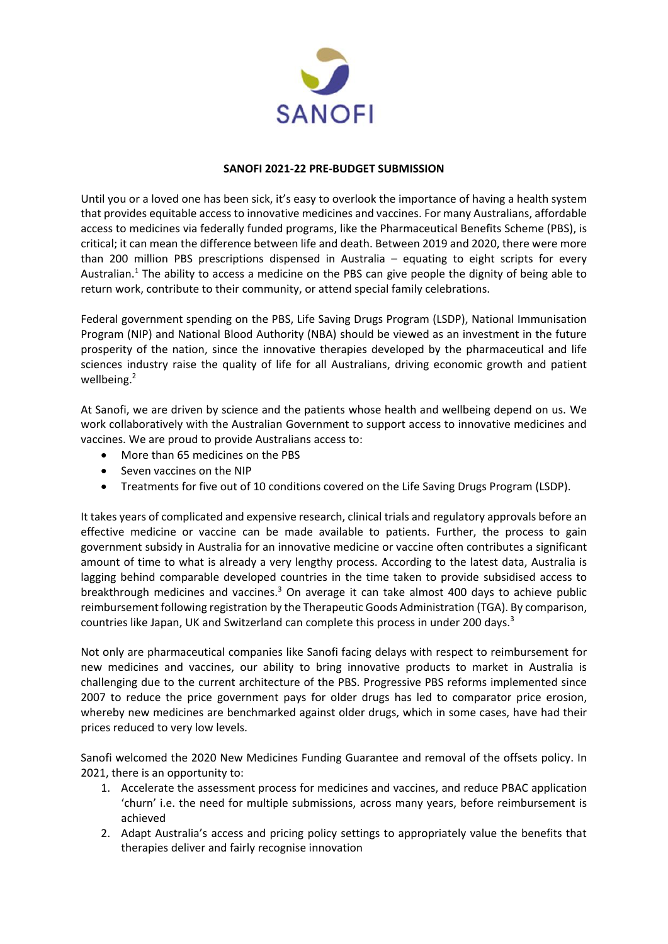

## **SANOFI 2021-22 PRE-BUDGET SUBMISSION**

Until you or a loved one has been sick, it's easy to overlook the importance of having a health system that provides equitable access to innovative medicines and vaccines. For many Australians, affordable access to medicines via federally funded programs, like the Pharmaceutical Benefits Scheme (PBS), is critical; it can mean the difference between life and death. Between 2019 and 2020, there were more than 200 million PBS prescriptions dispensed in Australia – equating to eight scripts for every Australian.<sup>1</sup> The ability to access a medicine on the PBS can give people the dignity of being able to return work, contribute to their community, or attend special family celebrations.

Federal government spending on the PBS, Life Saving Drugs Program (LSDP), National Immunisation Program (NIP) and National Blood Authority (NBA) should be viewed as an investment in the future prosperity of the nation, since the innovative therapies developed by the pharmaceutical and life sciences industry raise the quality of life for all Australians, driving economic growth and patient wellbeing.<sup>2</sup>

At Sanofi, we are driven by science and the patients whose health and wellbeing depend on us. We work collaboratively with the Australian Government to support access to innovative medicines and vaccines. We are proud to provide Australians access to:

- More than 65 medicines on the PBS
- Seven vaccines on the NIP
- Treatments for five out of 10 conditions covered on the Life Saving Drugs Program (LSDP).

It takes years of complicated and expensive research, clinical trials and regulatory approvals before an effective medicine or vaccine can be made available to patients. Further, the process to gain government subsidy in Australia for an innovative medicine or vaccine often contributes a significant amount of time to what is already a very lengthy process. According to the latest data, Australia is lagging behind comparable developed countries in the time taken to provide subsidised access to breakthrough medicines and vaccines.<sup>3</sup> On average it can take almost 400 days to achieve public reimbursement following registration by the Therapeutic Goods Administration (TGA). By comparison, countries like Japan, UK and Switzerland can complete this process in under 200 days. $3$ 

Not only are pharmaceutical companies like Sanofi facing delays with respect to reimbursement for new medicines and vaccines, our ability to bring innovative products to market in Australia is challenging due to the current architecture of the PBS. Progressive PBS reforms implemented since 2007 to reduce the price government pays for older drugs has led to comparator price erosion, whereby new medicines are benchmarked against older drugs, which in some cases, have had their prices reduced to very low levels.

Sanofi welcomed the 2020 New Medicines Funding Guarantee and removal of the offsets policy. In 2021, there is an opportunity to:

- 1. Accelerate the assessment process for medicines and vaccines, and reduce PBAC application 'churn' i.e. the need for multiple submissions, across many years, before reimbursement is achieved
- 2. Adapt Australia's access and pricing policy settings to appropriately value the benefits that therapies deliver and fairly recognise innovation